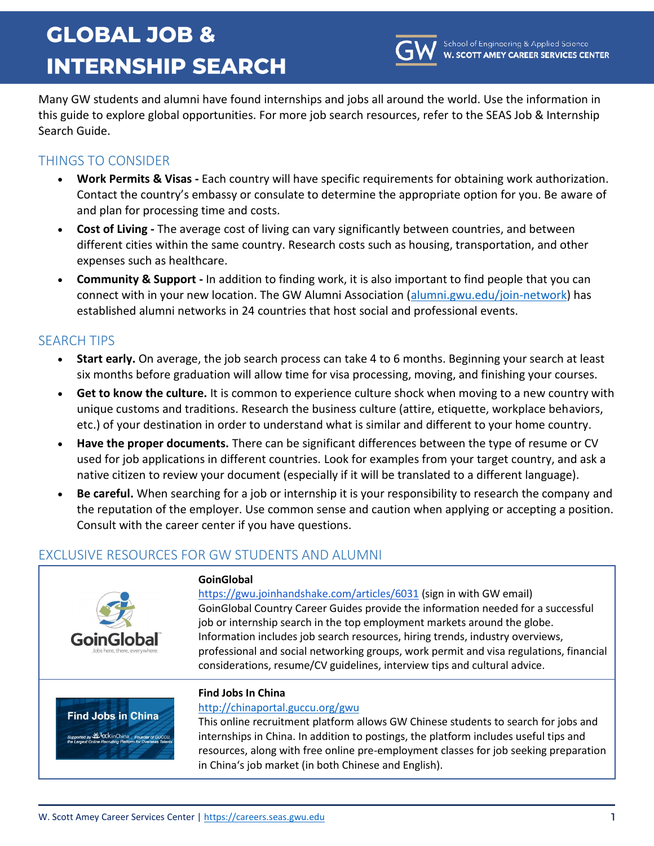# **GLOBAL JOB & INTERNSHIP SEARCH**



Many GW students and alumni have found internships and jobs all around the world. Use the information in this guide to explore global opportunities. For more job search resources, refer to the SEAS Job & Internship Search Guide.

## THINGS TO CONSIDER

- **Work Permits & Visas -** Each country will have specific requirements for obtaining work authorization. Contact the country's embassy or consulate to determine the appropriate option for you. Be aware of and plan for processing time and costs.
- **Cost of Living -** The average cost of living can vary significantly between countries, and between different cities within the same country. Research costs such as housing, transportation, and other expenses such as healthcare.
- **Community & Support -** In addition to finding work, it is also important to find people that you can connect with in your new location. The GW Alumni Association [\(alumni.gwu.edu/join-network\)](https://www.alumni.gwu.edu/join-network) has established alumni networks in 24 countries that host social and professional events.

## SEARCH TIPS

- **Start early.** On average, the job search process can take 4 to 6 months. Beginning your search at least six months before graduation will allow time for visa processing, moving, and finishing your courses.
- **Get to know the culture.** It is common to experience culture shock when moving to a new country with unique customs and traditions. Research the business culture (attire, etiquette, workplace behaviors, etc.) of your destination in order to understand what is similar and different to your home country.
- **Have the proper documents.** There can be significant differences between the type of resume or CV used for job applications in different countries. Look for examples from your target country, and ask a native citizen to review your document (especially if it will be translated to a different language).
- **Be careful.** When searching for a job or internship it is your responsibility to research the company and the reputation of the employer. Use common sense and caution when applying or accepting a position. Consult with the career center if you have questions.

# EXCLUSIVE RESOURCES FOR GW STUDENTS AND ALUMNI

| GoinGlobal<br>Jobs here, there, everywhere                                                                                        | GoinGlobal<br>https://gwu.joinhandshake.com/articles/6031 (sign in with GW email)<br>GoinGlobal Country Career Guides provide the information needed for a successful<br>job or internship search in the top employment markets around the globe.<br>Information includes job search resources, hiring trends, industry overviews,<br>professional and social networking groups, work permit and visa regulations, financial<br>considerations, resume/CV guidelines, interview tips and cultural advice. |
|-----------------------------------------------------------------------------------------------------------------------------------|-----------------------------------------------------------------------------------------------------------------------------------------------------------------------------------------------------------------------------------------------------------------------------------------------------------------------------------------------------------------------------------------------------------------------------------------------------------------------------------------------------------|
| <b>Find Jobs in China</b><br>Supported by YL CK inChina, Founder of GUCCU,<br>the Largest Online Recruiting Platform for Overseas | <b>Find Jobs In China</b><br>http://chinaportal.guccu.org/gwu<br>This online recruitment platform allows GW Chinese students to search for jobs and<br>internships in China. In addition to postings, the platform includes useful tips and<br>resources, along with free online pre-employment classes for job seeking preparation<br>in China's job market (in both Chinese and English).                                                                                                               |